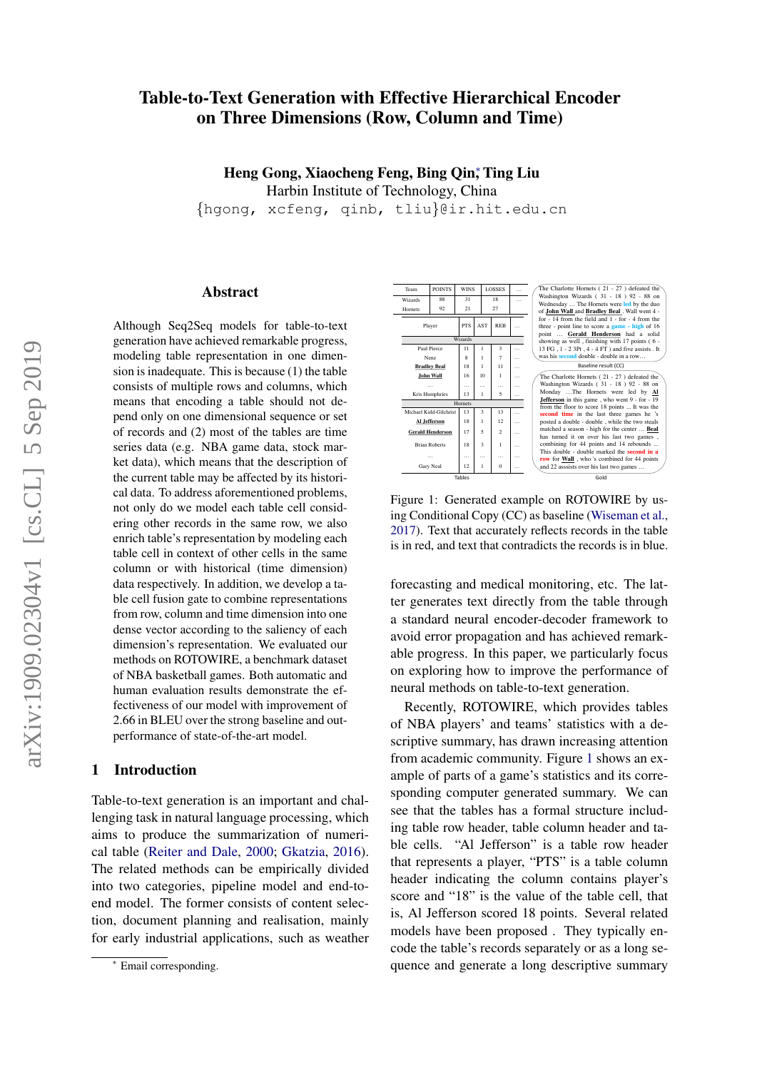# Table-to-Text Generation with Effective Hierarchical Encoder on Three Dimensions (Row, Column and Time)

Heng Gong, Xiaocheng Feng, Bing Qin; Ting Liu Harbin Institute of Technology, China

{hgong, xcfeng, qinb, tliu}@ir.hit.edu.cn

## Abstract

Although Seq2Seq models for table-to-text generation have achieved remarkable progress, modeling table representation in one dimension is inadequate. This is because (1) the table consists of multiple rows and columns, which means that encoding a table should not depend only on one dimensional sequence or set of records and (2) most of the tables are time series data (e.g. NBA game data, stock market data), which means that the description of the current table may be affected by its historical data. To address aforementioned problems, not only do we model each table cell considering other records in the same row, we also enrich table's representation by modeling each table cell in context of other cells in the same column or with historical (time dimension) data respectively. In addition, we develop a table cell fusion gate to combine representations from row, column and time dimension into one dense vector according to the saliency of each dimension's representation. We evaluated our methods on ROTOWIRE, a benchmark dataset of NBA basketball games. Both automatic and human evaluation results demonstrate the effectiveness of our model with improvement of 2.66 in BLEU over the strong baseline and outperformance of state-of-the-art model.

## <span id="page-0-1"></span>1 Introduction

Table-to-text generation is an important and challenging task in natural language processing, which aims to produce the summarization of numerical table [\(Reiter and Dale,](#page-9-0) [2000;](#page-9-0) [Gkatzia,](#page-9-1) [2016\)](#page-9-1). The related methods can be empirically divided into two categories, pipeline model and end-toend model. The former consists of content selection, document planning and realisation, mainly for early industrial applications, such as weather

<span id="page-0-0"></span>

Figure 1: Generated example on ROTOWIRE by using Conditional Copy (CC) as baseline [\(Wiseman et al.,](#page-9-2) [2017\)](#page-9-2). Text that accurately reflects records in the table is in red, and text that contradicts the records is in blue.

forecasting and medical monitoring, etc. The latter generates text directly from the table through a standard neural encoder-decoder framework to avoid error propagation and has achieved remarkable progress. In this paper, we particularly focus on exploring how to improve the performance of neural methods on table-to-text generation.

Recently, ROTOWIRE, which provides tables of NBA players' and teams' statistics with a descriptive summary, has drawn increasing attention from academic community. Figure [1](#page-0-0) shows an example of parts of a game's statistics and its corresponding computer generated summary. We can see that the tables has a formal structure including table row header, table column header and table cells. "Al Jefferson" is a table row header that represents a player, "PTS" is a table column header indicating the column contains player's score and "18" is the value of the table cell, that is, Al Jefferson scored 18 points. Several related models have been proposed . They typically encode the table's records separately or as a long sequence and generate a long descriptive summary

<sup>∗</sup> Email corresponding.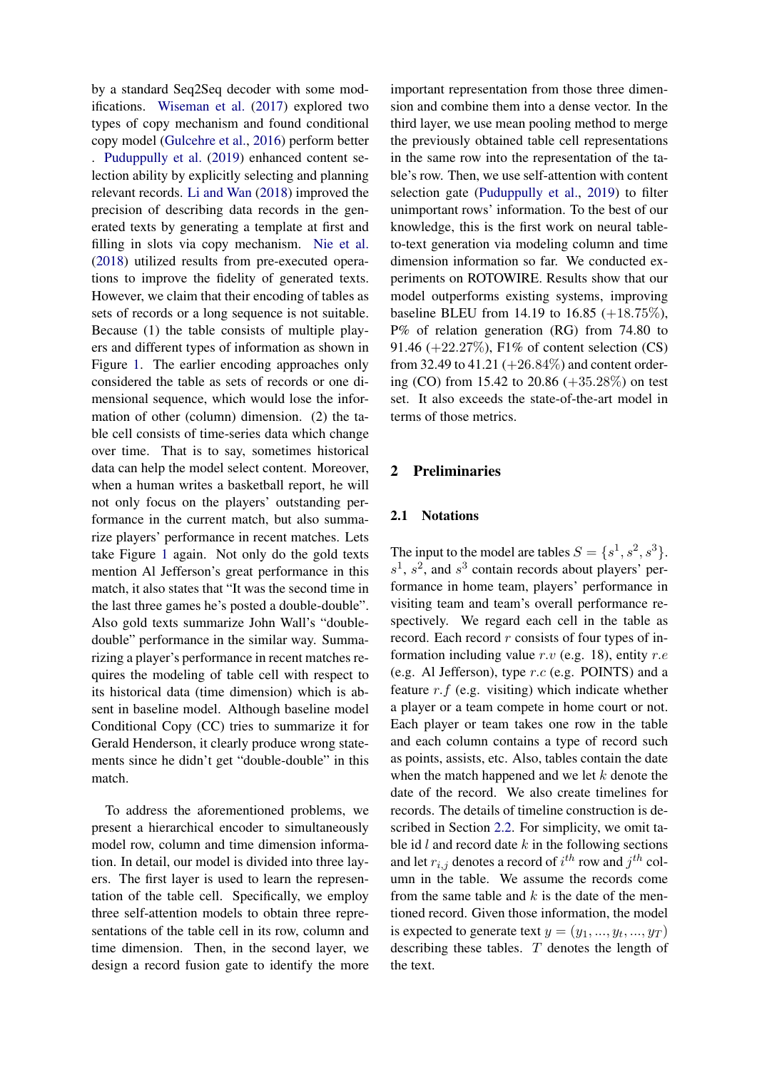by a standard Seq2Seq decoder with some modifications. [Wiseman et al.](#page-9-2) [\(2017\)](#page-9-2) explored two types of copy mechanism and found conditional copy model [\(Gulcehre et al.,](#page-9-3) [2016\)](#page-9-3) perform better . [Puduppully et al.](#page-9-4) [\(2019\)](#page-9-4) enhanced content selection ability by explicitly selecting and planning relevant records. [Li and Wan](#page-9-5) [\(2018\)](#page-9-5) improved the precision of describing data records in the generated texts by generating a template at first and filling in slots via copy mechanism. [Nie et al.](#page-9-6) [\(2018\)](#page-9-6) utilized results from pre-executed operations to improve the fidelity of generated texts. However, we claim that their encoding of tables as sets of records or a long sequence is not suitable. Because (1) the table consists of multiple players and different types of information as shown in Figure [1.](#page-0-0) The earlier encoding approaches only considered the table as sets of records or one dimensional sequence, which would lose the information of other (column) dimension. (2) the table cell consists of time-series data which change over time. That is to say, sometimes historical data can help the model select content. Moreover, when a human writes a basketball report, he will not only focus on the players' outstanding performance in the current match, but also summarize players' performance in recent matches. Lets take Figure [1](#page-0-0) again. Not only do the gold texts mention Al Jefferson's great performance in this match, it also states that "It was the second time in the last three games he's posted a double-double". Also gold texts summarize John Wall's "doubledouble" performance in the similar way. Summarizing a player's performance in recent matches requires the modeling of table cell with respect to its historical data (time dimension) which is absent in baseline model. Although baseline model Conditional Copy (CC) tries to summarize it for Gerald Henderson, it clearly produce wrong statements since he didn't get "double-double" in this match.

To address the aforementioned problems, we present a hierarchical encoder to simultaneously model row, column and time dimension information. In detail, our model is divided into three layers. The first layer is used to learn the representation of the table cell. Specifically, we employ three self-attention models to obtain three representations of the table cell in its row, column and time dimension. Then, in the second layer, we design a record fusion gate to identify the more

important representation from those three dimension and combine them into a dense vector. In the third layer, we use mean pooling method to merge the previously obtained table cell representations in the same row into the representation of the table's row. Then, we use self-attention with content selection gate [\(Puduppully et al.,](#page-9-4) [2019\)](#page-9-4) to filter unimportant rows' information. To the best of our knowledge, this is the first work on neural tableto-text generation via modeling column and time dimension information so far. We conducted experiments on ROTOWIRE. Results show that our model outperforms existing systems, improving baseline BLEU from 14.19 to 16.85  $(+18.75\%),$ P% of relation generation (RG) from 74.80 to 91.46 (+22.27%), F1% of content selection (CS) from 32.49 to 41.21  $(+26.84\%)$  and content ordering (CO) from 15.42 to 20.86 (+35.28%) on test set. It also exceeds the state-of-the-art model in terms of those metrics.

## 2 Preliminaries

### <span id="page-1-0"></span>2.1 Notations

The input to the model are tables  $S = \{s^1, s^2, s^3\}.$  $s<sup>1</sup>$ ,  $s<sup>2</sup>$ , and  $s<sup>3</sup>$  contain records about players' performance in home team, players' performance in visiting team and team's overall performance respectively. We regard each cell in the table as record. Each record  $r$  consists of four types of information including value  $r.v$  (e.g. 18), entity  $r.e$ (e.g. Al Jefferson), type r.c (e.g. POINTS) and a feature  $r.f$  (e.g. visiting) which indicate whether a player or a team compete in home court or not. Each player or team takes one row in the table and each column contains a type of record such as points, assists, etc. Also, tables contain the date when the match happened and we let  $k$  denote the date of the record. We also create timelines for records. The details of timeline construction is described in Section [2.2.](#page-2-0) For simplicity, we omit table id  $l$  and record date  $k$  in the following sections and let  $r_{i,j}$  denotes a record of  $i^{th}$  row and  $j^{th}$  column in the table. We assume the records come from the same table and  $k$  is the date of the mentioned record. Given those information, the model is expected to generate text  $y = (y_1, ..., y_t, ..., y_T)$ describing these tables. T denotes the length of the text.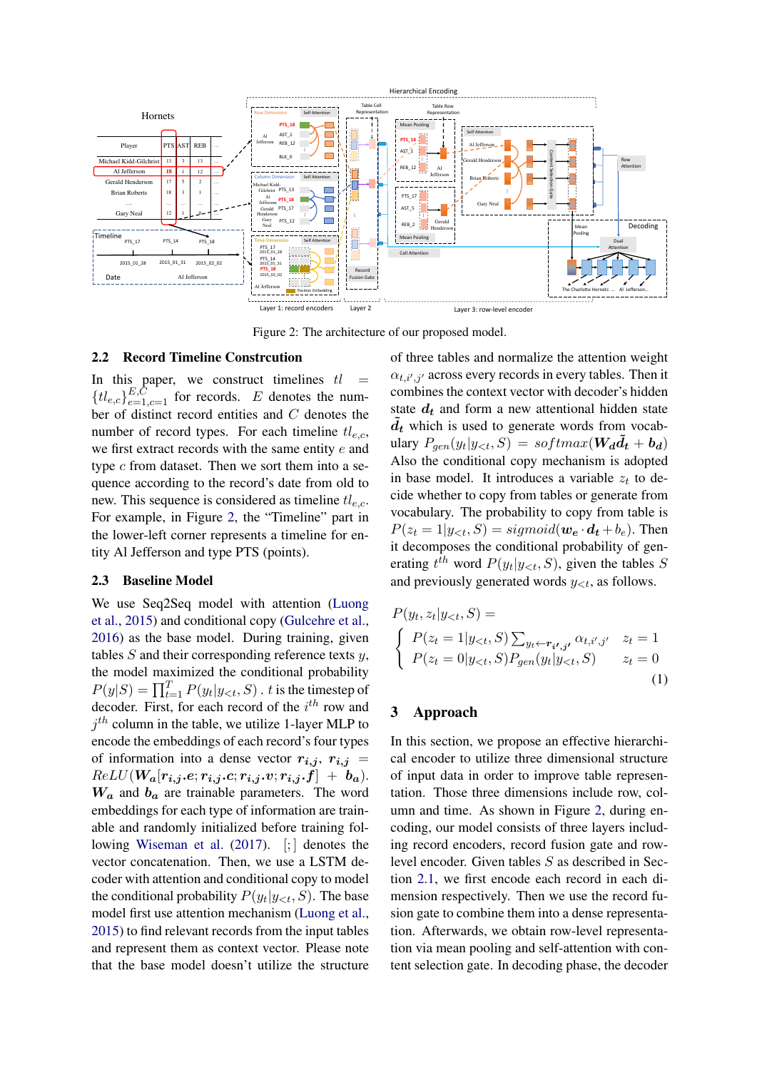<span id="page-2-1"></span>

Figure 2: The architecture of our proposed model.

## <span id="page-2-0"></span>2.2 Record Timeline Constrcution

In this paper, we construct timelines  $tl =$  ${t_l}_{e,c}$ <sub> ${E,C \atop e=1,c=1}$ </sub> for records. E denotes the number of distinct record entities and C denotes the number of record types. For each timeline  $tl_{e,c}$ , we first extract records with the same entity e and type  $c$  from dataset. Then we sort them into a sequence according to the record's date from old to new. This sequence is considered as timeline  $tl_{e.c.}$ . For example, in Figure [2,](#page-2-1) the "Timeline" part in the lower-left corner represents a timeline for entity Al Jefferson and type PTS (points).

## <span id="page-2-2"></span>2.3 Baseline Model

We use Seq2Seq model with attention [\(Luong](#page-9-7) [et al.,](#page-9-7) [2015\)](#page-9-7) and conditional copy [\(Gulcehre et al.,](#page-9-3) [2016\)](#page-9-3) as the base model. During training, given tables  $S$  and their corresponding reference texts  $y$ , the model maximized the conditional probability  $P(y|S) = \prod_{t=1}^{T} P(y_t|y_{< t}, S)$ . t is the timestep of decoder. First, for each record of the  $i^{th}$  row and  $j<sup>th</sup>$  column in the table, we utilize 1-layer MLP to encode the embeddings of each record's four types of information into a dense vector  $r_{i,j}$ ,  $r_{i,j}$  =  $ReLU(W_a[r_{i,j}.e; r_{i,j}.c; r_{i,j}.v; r_{i,j}.f] + b_a).$  $W_a$  and  $b_a$  are trainable parameters. The word embeddings for each type of information are trainable and randomly initialized before training fol-lowing [Wiseman et al.](#page-9-2) [\(2017\)](#page-9-2). [;] denotes the vector concatenation. Then, we use a LSTM decoder with attention and conditional copy to model the conditional probability  $P(y_t|y_{<};, S)$ . The base model first use attention mechanism [\(Luong et al.,](#page-9-7) [2015\)](#page-9-7) to find relevant records from the input tables and represent them as context vector. Please note that the base model doesn't utilize the structure

of three tables and normalize the attention weight  $\alpha_{t,i',j'}$  across every records in every tables. Then it combines the context vector with decoder's hidden state  $d_t$  and form a new attentional hidden state  $d_t$  which is used to generate words from vocabulary  $P_{gen}(y_t|y_{$ Also the conditional copy mechanism is adopted in base model. It introduces a variable  $z_t$  to decide whether to copy from tables or generate from vocabulary. The probability to copy from table is  $P(z_t = 1 | y_{\leq t}, S) = sigmoid(\boldsymbol{w}_e \cdot \boldsymbol{d}_t + b_e)$ . Then it decomposes the conditional probability of generating  $t^{th}$  word  $P(y_t|y_{< t}, S)$ , given the tables S and previously generated words  $y_{\leq t}$ , as follows.

$$
P(y_t, z_t | y_{< t}, S) =
$$
\n
$$
\begin{cases}\nP(z_t = 1 | y_{< t}, S) \sum_{y_t \leftarrow r_{i', j'} } \alpha_{t, i', j'} & z_t = 1 \\
P(z_t = 0 | y_{< t}, S) P_{gen}(y_t | y_{< t}, S) & z_t = 0\n\end{cases}
$$
\n(1)

## <span id="page-2-3"></span>3 Approach

In this section, we propose an effective hierarchical encoder to utilize three dimensional structure of input data in order to improve table representation. Those three dimensions include row, column and time. As shown in Figure [2,](#page-2-1) during encoding, our model consists of three layers including record encoders, record fusion gate and rowlevel encoder. Given tables S as described in Section [2.1,](#page-1-0) we first encode each record in each dimension respectively. Then we use the record fusion gate to combine them into a dense representation. Afterwards, we obtain row-level representation via mean pooling and self-attention with content selection gate. In decoding phase, the decoder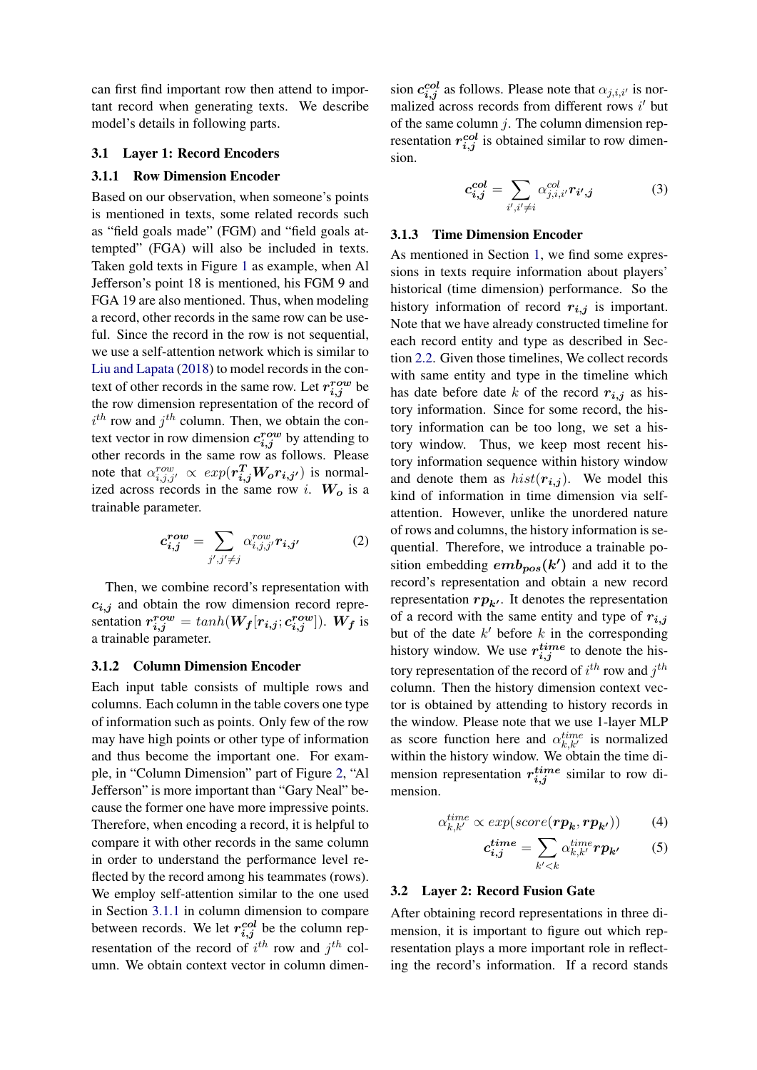can first find important row then attend to important record when generating texts. We describe model's details in following parts.

## 3.1 Layer 1: Record Encoders

## <span id="page-3-0"></span>3.1.1 Row Dimension Encoder

Based on our observation, when someone's points is mentioned in texts, some related records such as "field goals made" (FGM) and "field goals attempted" (FGA) will also be included in texts. Taken gold texts in Figure [1](#page-0-0) as example, when Al Jefferson's point 18 is mentioned, his FGM 9 and FGA 19 are also mentioned. Thus, when modeling a record, other records in the same row can be useful. Since the record in the row is not sequential, we use a self-attention network which is similar to [Liu and Lapata](#page-9-8) [\(2018\)](#page-9-8) to model records in the context of other records in the same row. Let  $r_{i,j}^{row}$  be the row dimension representation of the record of  $i^{th}$  row and  $j^{th}$  column. Then, we obtain the context vector in row dimension  $c_{i,j}^{row}$  by attending to other records in the same row as follows. Please note that  $\alpha_{i,j,j'}^{row} \propto exp(r_{i,j}^T W_o r_{i,j'})$  is normalized across records in the same row i.  $W_o$  is a trainable parameter.

$$
c_{i,j}^{row} = \sum_{j',j'\neq j} \alpha_{i,j,j'}^{row} r_{i,j'}
$$
 (2)

Then, we combine record's representation with  $c_{i,j}$  and obtain the row dimension record representation  $r_{i,j}^{row} = tanh(W_f[r_{i,j}; c_{i,j}^{row}])$ . W<sub>f</sub> is a trainable parameter.

## 3.1.2 Column Dimension Encoder

Each input table consists of multiple rows and columns. Each column in the table covers one type of information such as points. Only few of the row may have high points or other type of information and thus become the important one. For example, in "Column Dimension" part of Figure [2,](#page-2-1) "Al Jefferson" is more important than "Gary Neal" because the former one have more impressive points. Therefore, when encoding a record, it is helpful to compare it with other records in the same column in order to understand the performance level reflected by the record among his teammates (rows). We employ self-attention similar to the one used in Section [3.1.1](#page-3-0) in column dimension to compare between records. We let  $r_{i,j}^{col}$  be the column representation of the record of  $i^{th}$  row and  $j^{th}$  column. We obtain context vector in column dimen-

sion  $c_{i,j}^{col}$  as follows. Please note that  $\alpha_{j,i,i'}$  is normalized across records from different rows  $i'$  but of the same column  $j$ . The column dimension representation  $r_{i,j}^{col}$  is obtained similar to row dimension.

$$
c_{i,j}^{col} = \sum_{i',i' \neq i} \alpha_{j,i,i'}^{col} r_{i',j} \tag{3}
$$

#### 3.1.3 Time Dimension Encoder

As mentioned in Section [1,](#page-0-1) we find some expressions in texts require information about players' historical (time dimension) performance. So the history information of record  $r_{i,j}$  is important. Note that we have already constructed timeline for each record entity and type as described in Section [2.2.](#page-2-0) Given those timelines, We collect records with same entity and type in the timeline which has date before date k of the record  $r_{i,j}$  as history information. Since for some record, the history information can be too long, we set a history window. Thus, we keep most recent history information sequence within history window and denote them as  $hist(r_{i,j})$ . We model this kind of information in time dimension via selfattention. However, unlike the unordered nature of rows and columns, the history information is sequential. Therefore, we introduce a trainable position embedding  $emb_{pos}(k')$  and add it to the record's representation and obtain a new record representation  $rp_{k'}$ . It denotes the representation of a record with the same entity and type of  $r_{i,j}$ but of the date  $k'$  before  $k$  in the corresponding history window. We use  $r_{i,j}^{time}$  to denote the history representation of the record of  $i^{th}$  row and  $j^{th}$ column. Then the history dimension context vector is obtained by attending to history records in the window. Please note that we use 1-layer MLP as score function here and  $\alpha_{k,k'}^{time}$  is normalized within the history window. We obtain the time dimension representation  $r_{i,j}^{time}$  similar to row dimension.

$$
\alpha_{k,k'}^{time} \propto exp(score(\boldsymbol{rp_k}, \boldsymbol{rp_{k'}}))
$$
 (4)

$$
c_{i,j}^{time} = \sum_{k' < k} \alpha_{k,k'}^{time} r p_{k'} \tag{5}
$$

#### 3.2 Layer 2: Record Fusion Gate

After obtaining record representations in three dimension, it is important to figure out which representation plays a more important role in reflecting the record's information. If a record stands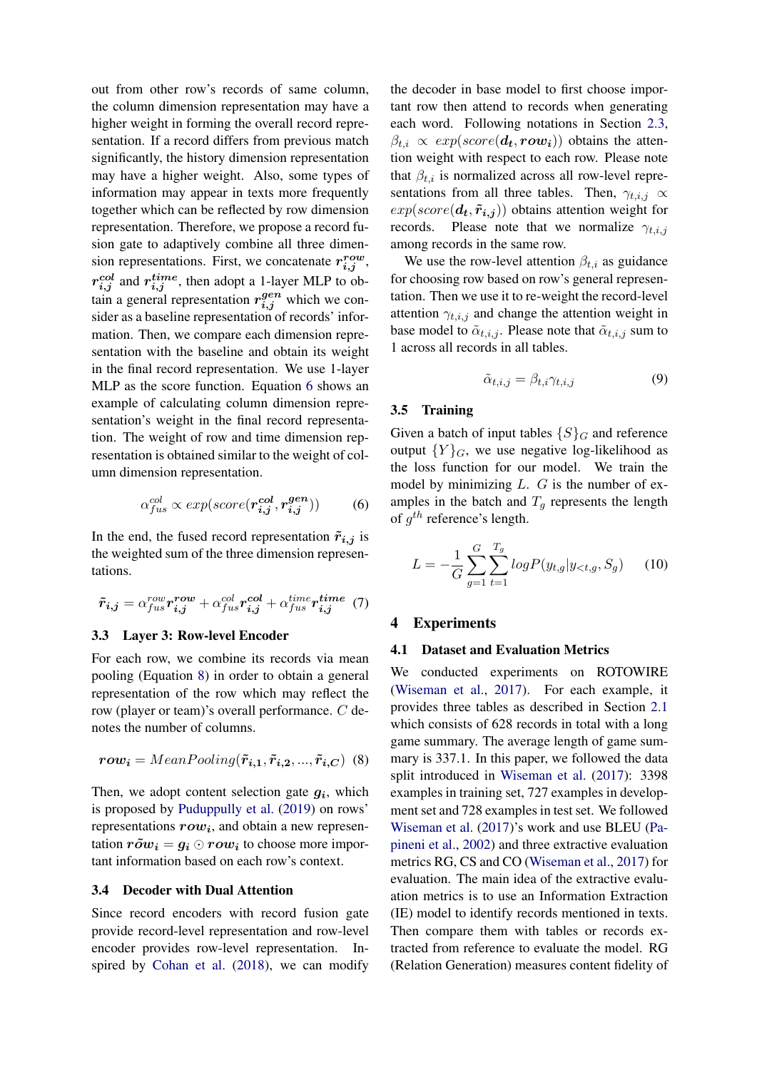out from other row's records of same column, the column dimension representation may have a higher weight in forming the overall record representation. If a record differs from previous match significantly, the history dimension representation may have a higher weight. Also, some types of information may appear in texts more frequently together which can be reflected by row dimension representation. Therefore, we propose a record fusion gate to adaptively combine all three dimension representations. First, we concatenate  $r_{i,j}^{row}$ ,  $r_{i,j}^{col}$  and  $r_{i,j}^{time}$ , then adopt a 1-layer MLP to obtain a general representation  $r_{i,j}^{gen}$  which we consider as a baseline representation of records' information. Then, we compare each dimension representation with the baseline and obtain its weight in the final record representation. We use 1-layer MLP as the score function. Equation [6](#page-4-0) shows an example of calculating column dimension representation's weight in the final record representation. The weight of row and time dimension representation is obtained similar to the weight of column dimension representation.

$$
\alpha_{fus}^{col} \propto exp(score(\boldsymbol{r}_{i,j}^{col}, \boldsymbol{r}_{i,j}^{gen}))
$$
 (6)

In the end, the fused record representation  $\tilde{r}_{i,j}$  is the weighted sum of the three dimension representations.

$$
\tilde{r}_{i,j} = \alpha_{fus}^{row} r_{i,j}^{row} + \alpha_{fus}^{col} r_{i,j}^{col} + \alpha_{fus}^{time} r_{i,j}^{time}
$$
 (7)

## 3.3 Layer 3: Row-level Encoder

For each row, we combine its records via mean pooling (Equation [8\)](#page-4-1) in order to obtain a general representation of the row which may reflect the row (player or team)'s overall performance. C denotes the number of columns.

$$
row_i = MeanPooling(\tilde{r}_{i,1}, \tilde{r}_{i,2}, ..., \tilde{r}_{i,C})
$$
 (8)

Then, we adopt content selection gate  $g_i$ , which is proposed by [Puduppully et al.](#page-9-4) [\(2019\)](#page-9-4) on rows' representations  $row_i$ , and obtain a new representation  $r\tilde{o}w_i = q_i \odot row_i$  to choose more important information based on each row's context.

#### 3.4 Decoder with Dual Attention

Since record encoders with record fusion gate provide record-level representation and row-level encoder provides row-level representation. Inspired by [Cohan et al.](#page-8-0) [\(2018\)](#page-8-0), we can modify the decoder in base model to first choose important row then attend to records when generating each word. Following notations in Section [2.3,](#page-2-2)  $\beta_{t,i} \propto exp(score(\boldsymbol{d_t},\boldsymbol{row_i}))$  obtains the attention weight with respect to each row. Please note that  $\beta_{t,i}$  is normalized across all row-level representations from all three tables. Then,  $\gamma_{t,i,j} \propto$  $exp(score(\boldsymbol{d_t}, \boldsymbol{\tilde{r}_{i,j}}))$  obtains attention weight for records. Please note that we normalize  $\gamma_{t,i,j}$ among records in the same row.

We use the row-level attention  $\beta_{t,i}$  as guidance for choosing row based on row's general representation. Then we use it to re-weight the record-level attention  $\gamma_{t,i,j}$  and change the attention weight in base model to  $\tilde{\alpha}_{t,i,j}$ . Please note that  $\tilde{\alpha}_{t,i,j}$  sum to 1 across all records in all tables.

$$
\tilde{\alpha}_{t,i,j} = \beta_{t,i} \gamma_{t,i,j} \tag{9}
$$

## 3.5 Training

<span id="page-4-0"></span>Given a batch of input tables  $\{S\}_G$  and reference output  ${Y}_{G}$ , we use negative log-likelihood as the loss function for our model. We train the model by minimizing  $L$ .  $G$  is the number of examples in the batch and  $T_q$  represents the length of  $g^{th}$  reference's length.

$$
L = -\frac{1}{G} \sum_{g=1}^{G} \sum_{t=1}^{T_g} log P(y_{t,g} | y_{< t,g}, S_g) \tag{10}
$$

### 4 Experiments

#### 4.1 Dataset and Evaluation Metrics

<span id="page-4-1"></span>We conducted experiments on ROTOWIRE [\(Wiseman et al.,](#page-9-2) [2017\)](#page-9-2). For each example, it provides three tables as described in Section [2.1](#page-1-0) which consists of 628 records in total with a long game summary. The average length of game summary is 337.1. In this paper, we followed the data split introduced in [Wiseman et al.](#page-9-2) [\(2017\)](#page-9-2): 3398 examples in training set, 727 examples in development set and 728 examples in test set. We followed [Wiseman et al.](#page-9-2) [\(2017\)](#page-9-2)'s work and use BLEU [\(Pa](#page-9-9)[pineni et al.,](#page-9-9) [2002\)](#page-9-9) and three extractive evaluation metrics RG, CS and CO [\(Wiseman et al.,](#page-9-2) [2017\)](#page-9-2) for evaluation. The main idea of the extractive evaluation metrics is to use an Information Extraction (IE) model to identify records mentioned in texts. Then compare them with tables or records extracted from reference to evaluate the model. RG (Relation Generation) measures content fidelity of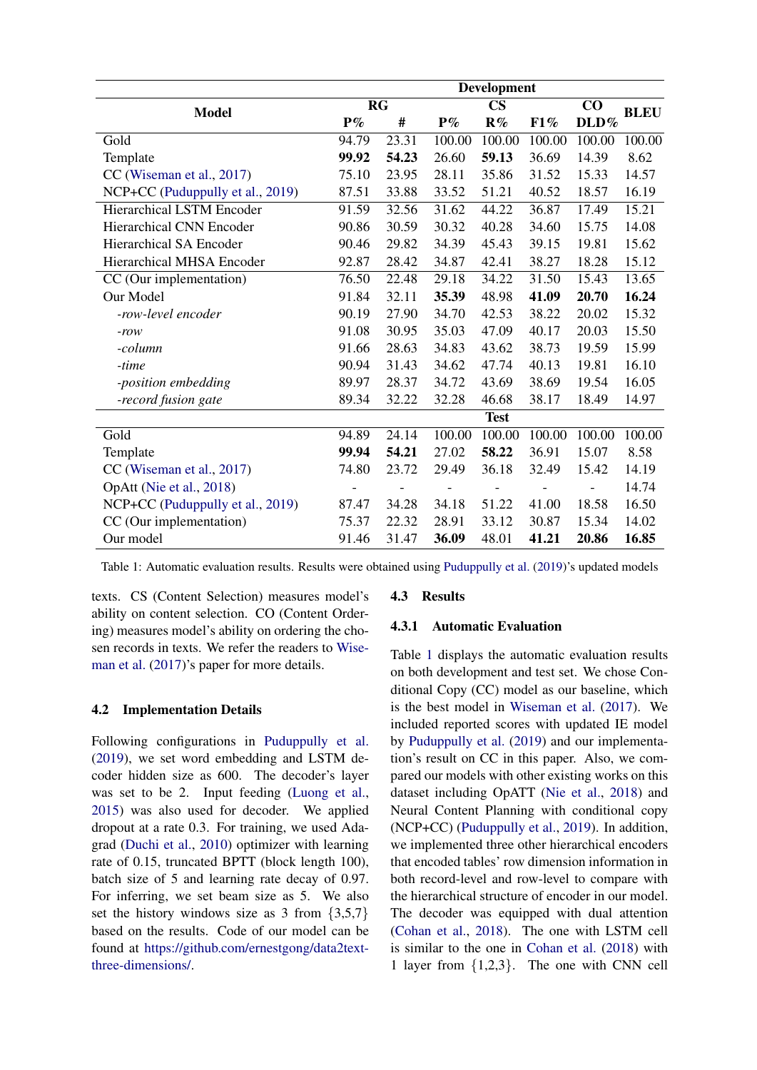<span id="page-5-0"></span>

|                                  | <b>Development</b> |       |               |                |        |          |             |
|----------------------------------|--------------------|-------|---------------|----------------|--------|----------|-------------|
| <b>Model</b>                     | RG                 |       | $\mathbf{CS}$ |                |        | $\bf CO$ | <b>BLEU</b> |
|                                  | $P\%$              | #     | $P\%$         | $\mathbf{R}\%$ | F1%    | DLD%     |             |
| Gold                             | 94.79              | 23.31 | 100.00        | 100.00         | 100.00 | 100.00   | 100.00      |
| Template                         | 99.92              | 54.23 | 26.60         | 59.13          | 36.69  | 14.39    | 8.62        |
| CC (Wiseman et al., 2017)        | 75.10              | 23.95 | 28.11         | 35.86          | 31.52  | 15.33    | 14.57       |
| NCP+CC (Puduppully et al., 2019) | 87.51              | 33.88 | 33.52         | 51.21          | 40.52  | 18.57    | 16.19       |
| <b>Hierarchical LSTM Encoder</b> | 91.59              | 32.56 | 31.62         | 44.22          | 36.87  | 17.49    | 15.21       |
| <b>Hierarchical CNN Encoder</b>  | 90.86              | 30.59 | 30.32         | 40.28          | 34.60  | 15.75    | 14.08       |
| <b>Hierarchical SA Encoder</b>   | 90.46              | 29.82 | 34.39         | 45.43          | 39.15  | 19.81    | 15.62       |
| Hierarchical MHSA Encoder        | 92.87              | 28.42 | 34.87         | 42.41          | 38.27  | 18.28    | 15.12       |
| CC (Our implementation)          | 76.50              | 22.48 | 29.18         | 34.22          | 31.50  | 15.43    | 13.65       |
| Our Model                        | 91.84              | 32.11 | 35.39         | 48.98          | 41.09  | 20.70    | 16.24       |
| -row-level encoder               | 90.19              | 27.90 | 34.70         | 42.53          | 38.22  | 20.02    | 15.32       |
| $-row$                           | 91.08              | 30.95 | 35.03         | 47.09          | 40.17  | 20.03    | 15.50       |
| -column                          | 91.66              | 28.63 | 34.83         | 43.62          | 38.73  | 19.59    | 15.99       |
| -time                            | 90.94              | 31.43 | 34.62         | 47.74          | 40.13  | 19.81    | 16.10       |
| -position embedding              | 89.97              | 28.37 | 34.72         | 43.69          | 38.69  | 19.54    | 16.05       |
| -record fusion gate              | 89.34              | 32.22 | 32.28         | 46.68          | 38.17  | 18.49    | 14.97       |
|                                  |                    |       |               | <b>Test</b>    |        |          |             |
| Gold                             | 94.89              | 24.14 | 100.00        | 100.00         | 100.00 | 100.00   | 100.00      |
| Template                         | 99.94              | 54.21 | 27.02         | 58.22          | 36.91  | 15.07    | 8.58        |
| CC (Wiseman et al., 2017)        | 74.80              | 23.72 | 29.49         | 36.18          | 32.49  | 15.42    | 14.19       |
| OpAtt (Nie et al., 2018)         |                    |       |               |                |        |          | 14.74       |
| NCP+CC (Puduppully et al., 2019) | 87.47              | 34.28 | 34.18         | 51.22          | 41.00  | 18.58    | 16.50       |
| CC (Our implementation)          | 75.37              | 22.32 | 28.91         | 33.12          | 30.87  | 15.34    | 14.02       |
| Our model                        | 91.46              | 31.47 | 36.09         | 48.01          | 41.21  | 20.86    | 16.85       |

Table 1: Automatic evaluation results. Results were obtained using [Puduppully et al.](#page-9-4) [\(2019\)](#page-9-4)'s updated models

texts. CS (Content Selection) measures model's ability on content selection. CO (Content Ordering) measures model's ability on ordering the chosen records in texts. We refer the readers to [Wise](#page-9-2)[man et al.](#page-9-2)  $(2017)$ 's paper for more details.

## 4.2 Implementation Details

Following configurations in [Puduppully et al.](#page-9-4) [\(2019\)](#page-9-4), we set word embedding and LSTM decoder hidden size as 600. The decoder's layer was set to be 2. Input feeding [\(Luong et al.,](#page-9-7) [2015\)](#page-9-7) was also used for decoder. We applied dropout at a rate 0.3. For training, we used Adagrad [\(Duchi et al.,](#page-8-1) [2010\)](#page-8-1) optimizer with learning rate of 0.15, truncated BPTT (block length 100), batch size of 5 and learning rate decay of 0.97. For inferring, we set beam size as 5. We also set the history windows size as 3 from {3,5,7} based on the results. Code of our model can be found at [https://github.com/ernestgong/data2text](https://github.com/ernestgong/data2text-three-dimensions/)[three-dimensions/.](https://github.com/ernestgong/data2text-three-dimensions/)

## 4.3 Results

## 4.3.1 Automatic Evaluation

Table [1](#page-5-0) displays the automatic evaluation results on both development and test set. We chose Conditional Copy (CC) model as our baseline, which is the best model in [Wiseman et al.](#page-9-2) [\(2017\)](#page-9-2). We included reported scores with updated IE model by [Puduppully et al.](#page-9-4) [\(2019\)](#page-9-4) and our implementation's result on CC in this paper. Also, we compared our models with other existing works on this dataset including OpATT [\(Nie et al.,](#page-9-6) [2018\)](#page-9-6) and Neural Content Planning with conditional copy (NCP+CC) [\(Puduppully et al.,](#page-9-4) [2019\)](#page-9-4). In addition, we implemented three other hierarchical encoders that encoded tables' row dimension information in both record-level and row-level to compare with the hierarchical structure of encoder in our model. The decoder was equipped with dual attention [\(Cohan et al.,](#page-8-0) [2018\)](#page-8-0). The one with LSTM cell is similar to the one in [Cohan et al.](#page-8-0) [\(2018\)](#page-8-0) with 1 layer from {1,2,3}. The one with CNN cell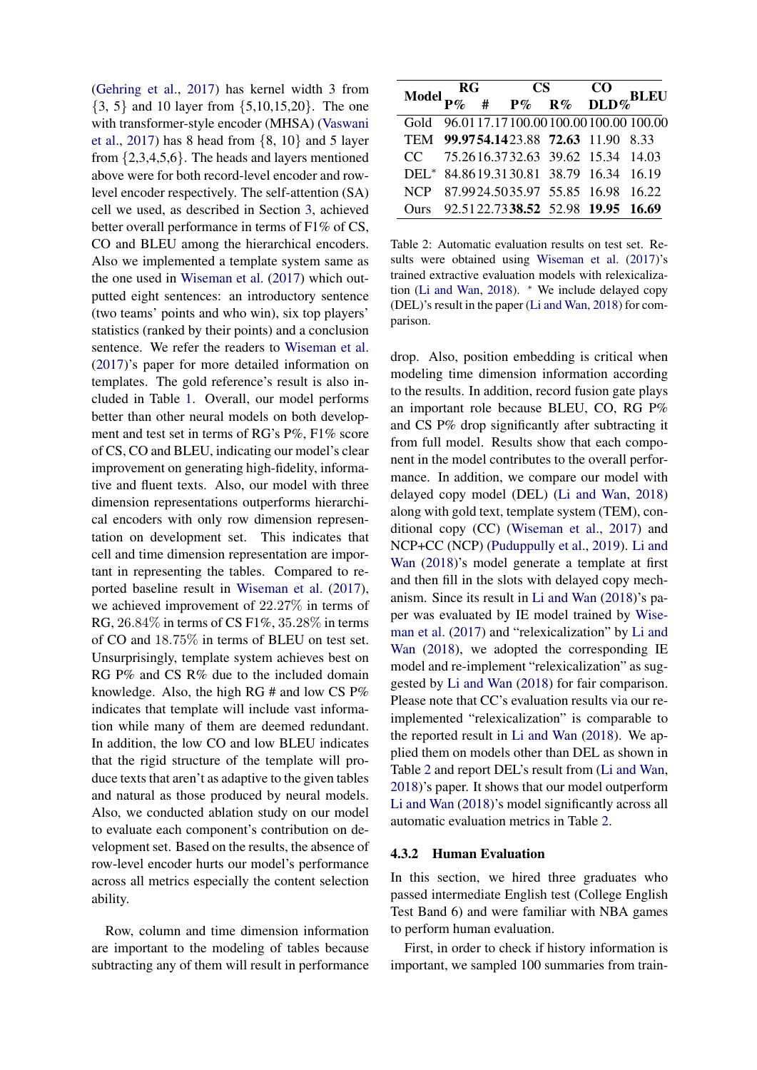[\(Gehring et al.,](#page-9-10) [2017\)](#page-9-10) has kernel width 3 from {3, 5} and 10 layer from {5,10,15,20}. The one with transformer-style encoder (MHSA) [\(Vaswani](#page-9-11) [et al.,](#page-9-11) [2017\)](#page-9-11) has 8 head from  $\{8, 10\}$  and 5 layer from  $\{2,3,4,5,6\}$ . The heads and layers mentioned above were for both record-level encoder and rowlevel encoder respectively. The self-attention (SA) cell we used, as described in Section [3,](#page-2-3) achieved better overall performance in terms of F1% of CS, CO and BLEU among the hierarchical encoders. Also we implemented a template system same as the one used in [Wiseman et al.](#page-9-2) [\(2017\)](#page-9-2) which outputted eight sentences: an introductory sentence (two teams' points and who win), six top players' statistics (ranked by their points) and a conclusion sentence. We refer the readers to [Wiseman et al.](#page-9-2) [\(2017\)](#page-9-2)'s paper for more detailed information on templates. The gold reference's result is also included in Table [1.](#page-5-0) Overall, our model performs better than other neural models on both development and test set in terms of RG's P%, F1% score of CS, CO and BLEU, indicating our model's clear improvement on generating high-fidelity, informative and fluent texts. Also, our model with three dimension representations outperforms hierarchical encoders with only row dimension representation on development set. This indicates that cell and time dimension representation are important in representing the tables. Compared to reported baseline result in [Wiseman et al.](#page-9-2) [\(2017\)](#page-9-2), we achieved improvement of 22.27% in terms of RG, 26.84% in terms of CS F1%, 35.28% in terms of CO and 18.75% in terms of BLEU on test set. Unsurprisingly, template system achieves best on RG P% and CS R% due to the included domain knowledge. Also, the high RG # and low CS P% indicates that template will include vast information while many of them are deemed redundant. In addition, the low CO and low BLEU indicates that the rigid structure of the template will produce texts that aren't as adaptive to the given tables and natural as those produced by neural models. Also, we conducted ablation study on our model to evaluate each component's contribution on development set. Based on the results, the absence of row-level encoder hurts our model's performance across all metrics especially the content selection ability.

Row, column and time dimension information are important to the modeling of tables because subtracting any of them will result in performance

<span id="page-6-0"></span>

| Model $\frac{RG}{P\%}$ # $\frac{CS}{P\%}$ $\frac{CO}{R\%}$ DLD% BLEU |  |  |  |                                              |  |  |
|----------------------------------------------------------------------|--|--|--|----------------------------------------------|--|--|
|                                                                      |  |  |  |                                              |  |  |
|                                                                      |  |  |  | Gold 96.01 17.17 100.00 100.00 100.00 100.00 |  |  |
|                                                                      |  |  |  | TEM 99.9754.1423.88 72.63 11.90 8.33         |  |  |
|                                                                      |  |  |  | CC 75.2616.3732.63 39.62 15.34 14.03         |  |  |
|                                                                      |  |  |  | DEL* 84.8619.3130.81 38.79 16.34 16.19       |  |  |
|                                                                      |  |  |  | NCP 87.9924.5035.97 55.85 16.98 16.22        |  |  |
|                                                                      |  |  |  | Ours 92.5122.7338.52 52.98 19.95 16.69       |  |  |

Table 2: Automatic evaluation results on test set. Results were obtained using [Wiseman et al.](#page-9-2) [\(2017\)](#page-9-2)'s trained extractive evaluation models with relexicalization [\(Li and Wan,](#page-9-5) [2018\)](#page-9-5). <sup>∗</sup> We include delayed copy (DEL)'s result in the paper [\(Li and Wan,](#page-9-5) [2018\)](#page-9-5) for comparison.

drop. Also, position embedding is critical when modeling time dimension information according to the results. In addition, record fusion gate plays an important role because BLEU, CO, RG P% and CS P% drop significantly after subtracting it from full model. Results show that each component in the model contributes to the overall performance. In addition, we compare our model with delayed copy model (DEL) [\(Li and Wan,](#page-9-5) [2018\)](#page-9-5) along with gold text, template system (TEM), conditional copy (CC) [\(Wiseman et al.,](#page-9-2) [2017\)](#page-9-2) and NCP+CC (NCP) [\(Puduppully et al.,](#page-9-4) [2019\)](#page-9-4). [Li and](#page-9-5) [Wan](#page-9-5) [\(2018\)](#page-9-5)'s model generate a template at first and then fill in the slots with delayed copy mechanism. Since its result in [Li and Wan](#page-9-5) [\(2018\)](#page-9-5)'s paper was evaluated by IE model trained by [Wise](#page-9-2)[man et al.](#page-9-2) [\(2017\)](#page-9-2) and "relexicalization" by [Li and](#page-9-5) [Wan](#page-9-5) [\(2018\)](#page-9-5), we adopted the corresponding IE model and re-implement "relexicalization" as suggested by [Li and Wan](#page-9-5) [\(2018\)](#page-9-5) for fair comparison. Please note that CC's evaluation results via our reimplemented "relexicalization" is comparable to the reported result in [Li and Wan](#page-9-5) [\(2018\)](#page-9-5). We applied them on models other than DEL as shown in Table [2](#page-6-0) and report DEL's result from [\(Li and Wan,](#page-9-5) [2018\)](#page-9-5)'s paper. It shows that our model outperform [Li and Wan](#page-9-5) [\(2018\)](#page-9-5)'s model significantly across all automatic evaluation metrics in Table [2.](#page-6-0)

### 4.3.2 Human Evaluation

In this section, we hired three graduates who passed intermediate English test (College English Test Band 6) and were familiar with NBA games to perform human evaluation.

First, in order to check if history information is important, we sampled 100 summaries from train-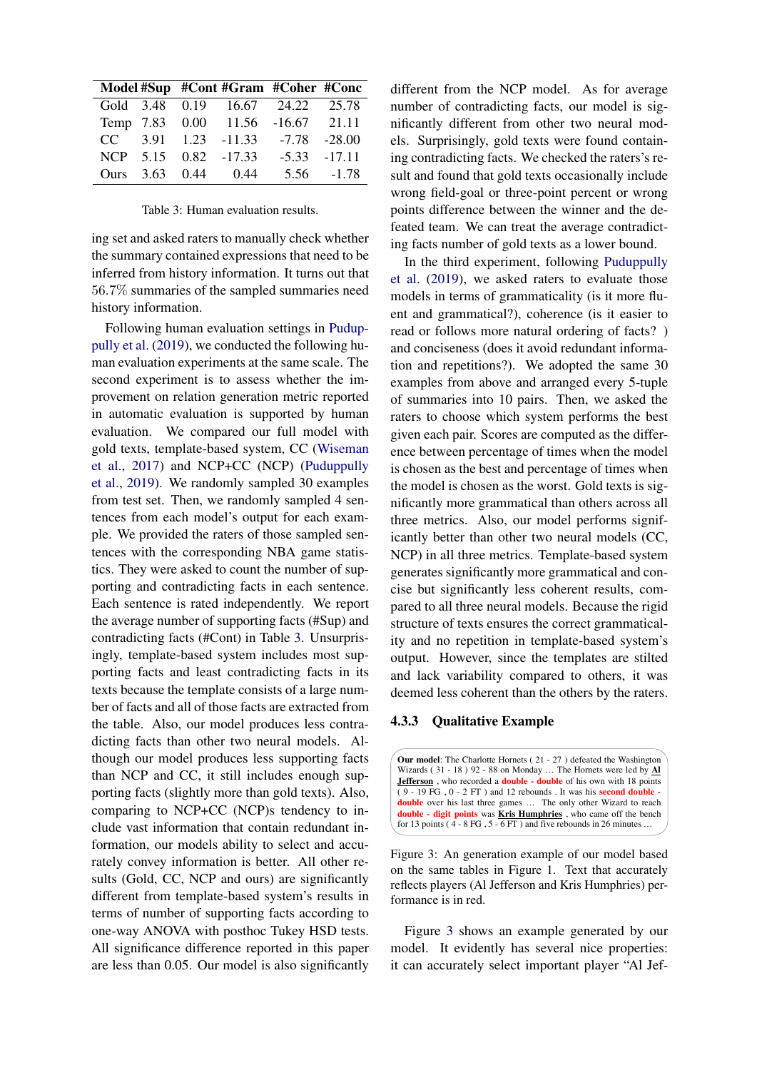<span id="page-7-0"></span>

|  |                      | Model #Sup #Cont #Gram #Coher #Conc |            |
|--|----------------------|-------------------------------------|------------|
|  |                      | Gold 3.48 0.19 16.67 24.22 25.78    |            |
|  |                      | Temp 7.83 0.00 11.56 -16.67 21.11   |            |
|  |                      | $CC$ 3.91 1.23 -11.33 -7.78 -28.00  |            |
|  | NCP 5.15 0.82 -17.33 | $-5.33 -17.11$                      |            |
|  | Ours 3.63 0.44 0.44  |                                     | 5.56 -1.78 |

Table 3: Human evaluation results.

ing set and asked raters to manually check whether the summary contained expressions that need to be inferred from history information. It turns out that 56.7% summaries of the sampled summaries need history information.

Following human evaluation settings in [Pudup](#page-9-4)[pully et al.](#page-9-4) [\(2019\)](#page-9-4), we conducted the following human evaluation experiments at the same scale. The second experiment is to assess whether the improvement on relation generation metric reported in automatic evaluation is supported by human evaluation. We compared our full model with gold texts, template-based system, CC [\(Wiseman](#page-9-2) [et al.,](#page-9-2) [2017\)](#page-9-2) and NCP+CC (NCP) [\(Puduppully](#page-9-4) [et al.,](#page-9-4) [2019\)](#page-9-4). We randomly sampled 30 examples from test set. Then, we randomly sampled 4 sentences from each model's output for each example. We provided the raters of those sampled sentences with the corresponding NBA game statistics. They were asked to count the number of supporting and contradicting facts in each sentence. Each sentence is rated independently. We report the average number of supporting facts (#Sup) and contradicting facts (#Cont) in Table [3.](#page-7-0) Unsurprisingly, template-based system includes most supporting facts and least contradicting facts in its texts because the template consists of a large number of facts and all of those facts are extracted from the table. Also, our model produces less contradicting facts than other two neural models. Although our model produces less supporting facts than NCP and CC, it still includes enough supporting facts (slightly more than gold texts). Also, comparing to NCP+CC (NCP)s tendency to include vast information that contain redundant information, our models ability to select and accurately convey information is better. All other results (Gold, CC, NCP and ours) are significantly different from template-based system's results in terms of number of supporting facts according to one-way ANOVA with posthoc Tukey HSD tests. All significance difference reported in this paper are less than 0.05. Our model is also significantly different from the NCP model. As for average number of contradicting facts, our model is significantly different from other two neural models. Surprisingly, gold texts were found containing contradicting facts. We checked the raters's result and found that gold texts occasionally include wrong field-goal or three-point percent or wrong points difference between the winner and the defeated team. We can treat the average contradicting facts number of gold texts as a lower bound.

In the third experiment, following [Puduppully](#page-9-4) [et al.](#page-9-4) [\(2019\)](#page-9-4), we asked raters to evaluate those models in terms of grammaticality (is it more fluent and grammatical?), coherence (is it easier to read or follows more natural ordering of facts? ) and conciseness (does it avoid redundant information and repetitions?). We adopted the same 30 examples from above and arranged every 5-tuple of summaries into 10 pairs. Then, we asked the raters to choose which system performs the best given each pair. Scores are computed as the difference between percentage of times when the model is chosen as the best and percentage of times when the model is chosen as the worst. Gold texts is significantly more grammatical than others across all three metrics. Also, our model performs significantly better than other two neural models (CC, NCP) in all three metrics. Template-based system generates significantly more grammatical and concise but significantly less coherent results, compared to all three neural models. Because the rigid structure of texts ensures the correct grammaticality and no repetition in template-based system's output. However, since the templates are stilted and lack variability compared to others, it was deemed less coherent than the others by the raters.

## 4.3.3 Qualitative Example

<span id="page-7-1"></span>**Our model**: The Charlotte Hornets ( 21 - 27 ) defeated the Washington Wizards ( 31 - 18 ) 92 - 88 on Monday … The Hornets were led by **Al Jefferson** , who recorded a **double - double** of his own with 18 points  $(9 - 19 \text{ FG}, 0 - 2 \text{ FT})$  and 12 rebounds . It was his **second double double** over his last three games ... The only other Wizard to reach **double - digit points** was **Kris Humphries** , who came off the bench for 13 points ( $4 - 8$  FG,  $5 - 6$  FT) and five rebounds in 26 minutes ...

Figure 3: An generation example of our model based on the same tables in Figure 1. Text that accurately reflects players (Al Jefferson and Kris Humphries) performance is in red.

Figure [3](#page-7-1) shows an example generated by our model. It evidently has several nice properties: it can accurately select important player "Al Jef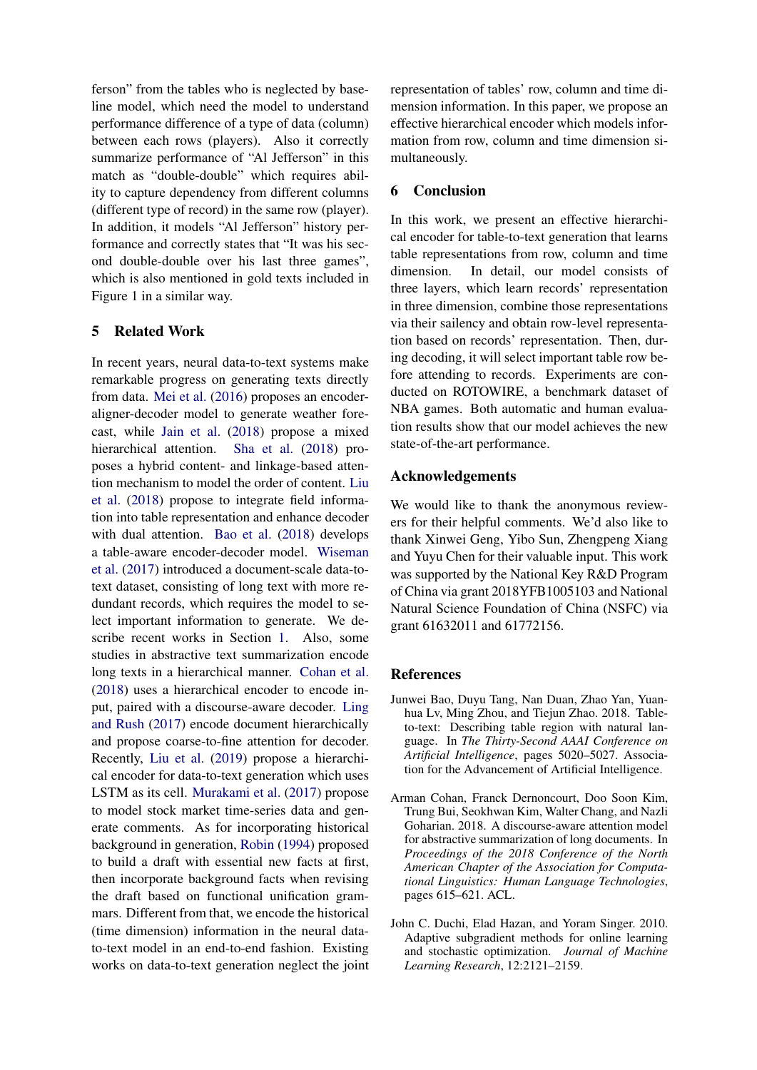ferson" from the tables who is neglected by baseline model, which need the model to understand performance difference of a type of data (column) between each rows (players). Also it correctly summarize performance of "Al Jefferson" in this match as "double-double" which requires ability to capture dependency from different columns (different type of record) in the same row (player). In addition, it models "Al Jefferson" history performance and correctly states that "It was his second double-double over his last three games", which is also mentioned in gold texts included in Figure 1 in a similar way.

## 5 Related Work

In recent years, neural data-to-text systems make remarkable progress on generating texts directly from data. [Mei et al.](#page-9-12) [\(2016\)](#page-9-12) proposes an encoderaligner-decoder model to generate weather forecast, while [Jain et al.](#page-9-13) [\(2018\)](#page-9-13) propose a mixed hierarchical attention. [Sha et al.](#page-9-14) [\(2018\)](#page-9-14) proposes a hybrid content- and linkage-based attention mechanism to model the order of content. [Liu](#page-9-15) [et al.](#page-9-15) [\(2018\)](#page-9-15) propose to integrate field information into table representation and enhance decoder with dual attention. [Bao et al.](#page-8-2) [\(2018\)](#page-8-2) develops a table-aware encoder-decoder model. [Wiseman](#page-9-2) [et al.](#page-9-2) [\(2017\)](#page-9-2) introduced a document-scale data-totext dataset, consisting of long text with more redundant records, which requires the model to select important information to generate. We describe recent works in Section [1.](#page-0-1) Also, some studies in abstractive text summarization encode long texts in a hierarchical manner. [Cohan et al.](#page-8-0) [\(2018\)](#page-8-0) uses a hierarchical encoder to encode input, paired with a discourse-aware decoder. [Ling](#page-9-16) [and Rush](#page-9-16) [\(2017\)](#page-9-16) encode document hierarchically and propose coarse-to-fine attention for decoder. Recently, [Liu et al.](#page-9-17) [\(2019\)](#page-9-17) propose a hierarchical encoder for data-to-text generation which uses LSTM as its cell. [Murakami et al.](#page-9-18) [\(2017\)](#page-9-18) propose to model stock market time-series data and generate comments. As for incorporating historical background in generation, [Robin](#page-9-19) [\(1994\)](#page-9-19) proposed to build a draft with essential new facts at first, then incorporate background facts when revising the draft based on functional unification grammars. Different from that, we encode the historical (time dimension) information in the neural datato-text model in an end-to-end fashion. Existing works on data-to-text generation neglect the joint representation of tables' row, column and time dimension information. In this paper, we propose an effective hierarchical encoder which models information from row, column and time dimension simultaneously.

## 6 Conclusion

In this work, we present an effective hierarchical encoder for table-to-text generation that learns table representations from row, column and time dimension. In detail, our model consists of three layers, which learn records' representation in three dimension, combine those representations via their sailency and obtain row-level representation based on records' representation. Then, during decoding, it will select important table row before attending to records. Experiments are conducted on ROTOWIRE, a benchmark dataset of NBA games. Both automatic and human evaluation results show that our model achieves the new state-of-the-art performance.

## Acknowledgements

We would like to thank the anonymous reviewers for their helpful comments. We'd also like to thank Xinwei Geng, Yibo Sun, Zhengpeng Xiang and Yuyu Chen for their valuable input. This work was supported by the National Key R&D Program of China via grant 2018YFB1005103 and National Natural Science Foundation of China (NSFC) via grant 61632011 and 61772156.

## References

- <span id="page-8-2"></span>Junwei Bao, Duyu Tang, Nan Duan, Zhao Yan, Yuanhua Lv, Ming Zhou, and Tiejun Zhao. 2018. Tableto-text: Describing table region with natural language. In *The Thirty-Second AAAI Conference on Artificial Intelligence*, pages 5020–5027. Association for the Advancement of Artificial Intelligence.
- <span id="page-8-0"></span>Arman Cohan, Franck Dernoncourt, Doo Soon Kim, Trung Bui, Seokhwan Kim, Walter Chang, and Nazli Goharian. 2018. A discourse-aware attention model for abstractive summarization of long documents. In *Proceedings of the 2018 Conference of the North American Chapter of the Association for Computational Linguistics: Human Language Technologies*, pages 615–621. ACL.
- <span id="page-8-1"></span>John C. Duchi, Elad Hazan, and Yoram Singer. 2010. Adaptive subgradient methods for online learning and stochastic optimization. *Journal of Machine Learning Research*, 12:2121–2159.